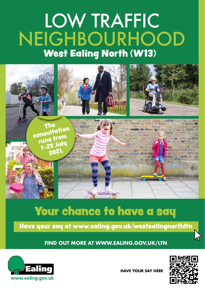# LOW TRAFFIC NEIGHBOURHOOD West Ealing North (W13)



## Your chance to have a say

Have your say at www.ealing.gov.uk/westealingnorthltn

**FIND OUT MORE AT <WWW.EALING.GOV.UK/LTN>** 



**HAVE YOUR SAY HERE** 

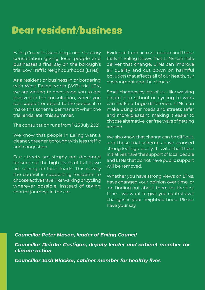#### Dear resident/business

 - Ealing Council is launching a non statutory consultation giving local people and businesses a final say on the borough's trial Low Traffic Neighbourhoods (LTNs).

As a resident or business in or bordering with West Ealing North (W13) trial LTN, we are writing to encourage you to get involved in the consultation, where you can support or object to the proposal to make this scheme permanent when the trial ends later this summer.

- The consultation runs from 1-23 July 2021.

We know that people in Ealing want a cleaner, greener borough with less traffic and congestion.

 choose active travel like walking or cycling shorter journeys in the car. Our streets are simply not designed for some of the high levels of traffic we are seeing on local roads. This is why the council is supporting residents to wherever possible, instead of taking

environment and the climate. Evidence from across London and these trials in Faling shows that LTNs can help deliver that change. LTNs can improve air quality and cut down on harmful pollution that affects all of our health, our

Small changes by lots of us – like walking children to school or cycling to work can make a huge difference. LTNs can make using our roads and streets safer and more pleasant, making it easier to choose alternative, car free ways of getting around.

We also know that change can be difficult. and these trial schemes have aroused strong feelings locally. It is vital that these initiatives have the support of local people and LTNs that do not have public support will be removed.

Whether you have strong views on LTNs, have changed your opinion over time, or are finding out about them for the first time – we want to give you control over changes in your neighbourhood. Please have your say.

#### *Councillor Peter Mason, leader of Ealing Council*

*Councillor Deirdre Costigan, deputy leader and cabinet member for climate action* 

*Councillor Josh Blacker, cabinet member for healthy lives*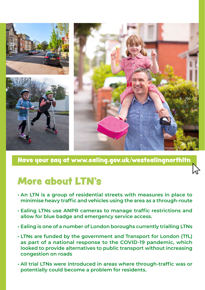

Have your say at www.ealing.gov.uk/westealingnorthltn

#### More about LTN's

- **An LTN is a group of residential streets with measures in place to minimise heavy traffic and vehicles using the area as a through-route**
- **• Ealing LTNs use ANPR cameras to manage traffic restrictions and allow for blue badge and emergency service access.**
- **Ealing is one of a number of London boroughs currently trialling LTNs**
- **as part of a national response to the COVID-19 pandemic, which • LTNs are funded by the government and Transport for London (TfL) looked to provide alternatives to public transport without increasing congestion on roads**
- **All trial LTNs were introduced in areas where through-traffic was or potentially could become a problem for residents.**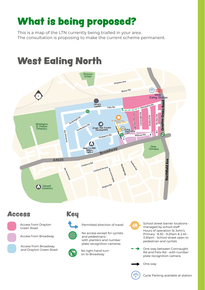## What is being proposed?

This is a map of the LTN currently being trialled in your area. The consultation is proposing to make the current scheme permanent.

#### West Ealing North



#### Access Key

Access from Drayton Green Road

Access from Broadway

Access from Broadway and Drayton Green Road



Access from Drayton<br>
Creen Road<br>
Access from Broadway<br>
Access from Broadway<br>
Access from Broadway<br>
Access from Broadway<br>
Access from Broadway<br>
Access from Broadway<br>
Access from Broadway<br>
Access from Broadway<br>
Access from B No access except for cyclists and pedestrians with planters and number plate recognition cameras



No right hand turn on to Broadway

School street barrier locations managed by school staff Hours of operation St John's Primary : 8.30 - 9.20am & 2.45 - 3.30pm - School street open to pedestrian and cyclists

Rd and<br>plate re<br>One-wa One-way between Connaught Rd and Felix Rd - with number plate recognition camera

One-way



Cycle Parking available at station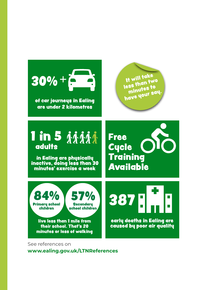

See references on **<www.ealing.gov.uk/LTNReferences>**